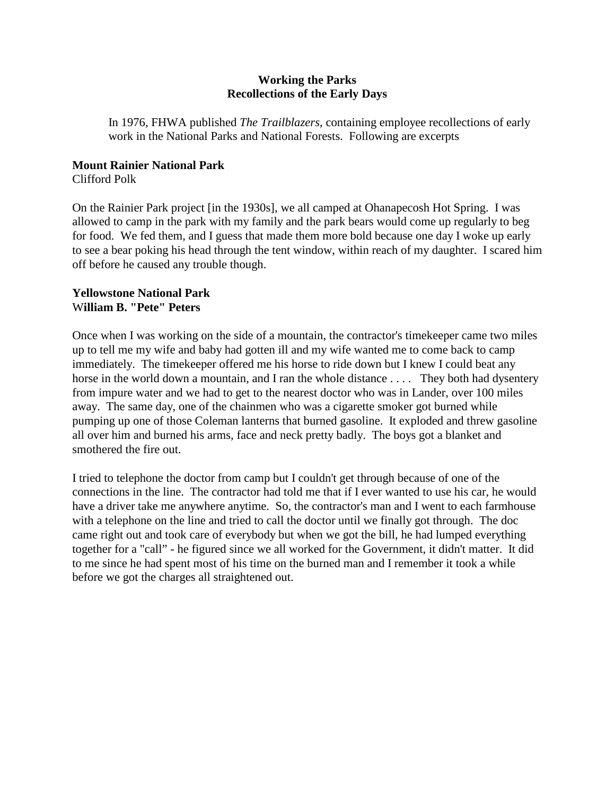## **Working the Parks Recollections of the Early Days**

In 1976, FHWA published *The Trailblazers*, containing employee recollections of early work in the National Parks and National Forests. Following are excerpts

# **Mount Rainier National Park**

Clifford Polk

On the Rainier Park project [in the 1930s], we all camped at Ohanapecosh Hot Spring. I was allowed to camp in the park with my family and the park bears would come up regularly to beg for food. We fed them, and I guess that made them more bold because one day I woke up early to see a bear poking his head through the tent window, within reach of my daughter. I scared him off before he caused any trouble though.

## **Yellowstone National Park**  W**illiam B. "Pete" Peters**

Once when I was working on the side of a mountain, the contractor's timekeeper came two miles up to tell me my wife and baby had gotten ill and my wife wanted me to come back to camp immediately. The timekeeper offered me his horse to ride down but I knew I could beat any horse in the world down a mountain, and I ran the whole distance .... They both had dysentery from impure water and we had to get to the nearest doctor who was in Lander, over 100 miles away. The same day, one of the chainmen who was a cigarette smoker got burned while pumping up one of those Coleman lanterns that burned gasoline. It exploded and threw gasoline all over him and burned his arms, face and neck pretty badly. The boys got a blanket and smothered the fire out.

I tried to telephone the doctor from camp but I couldn't get through because of one of the connections in the line. The contractor had told me that if I ever wanted to use his car, he would have a driver take me anywhere anytime. So, the contractor's man and I went to each farmhouse with a telephone on the line and tried to call the doctor until we finally got through. The doc came right out and took care of everybody but when we got the bill, he had lumped everything together for a "call" - he figured since we all worked for the Government, it didn't matter. It did to me since he had spent most of his time on the burned man and I remember it took a while before we got the charges all straightened out.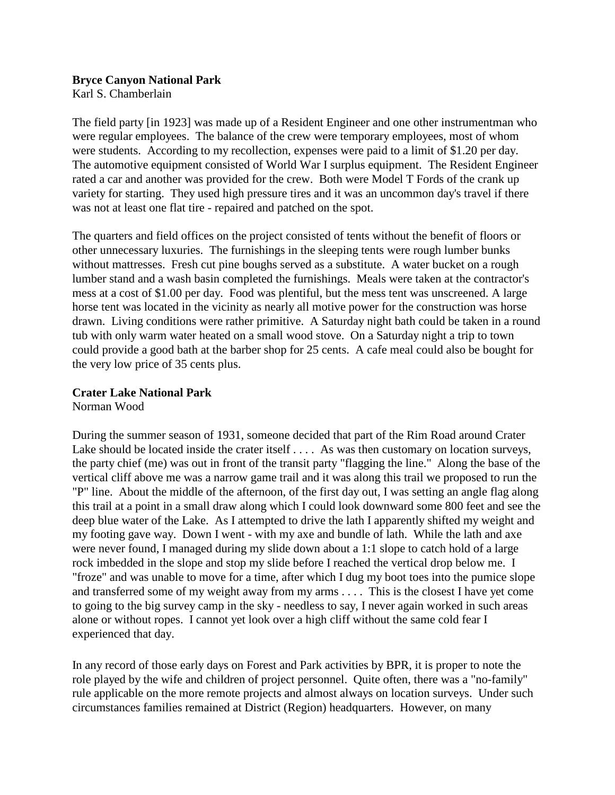## **Bryce Canyon National Park**

Karl S. Chamberlain

The field party [in 1923] was made up of a Resident Engineer and one other instrumentman who were regular employees. The balance of the crew were temporary employees, most of whom were students. According to my recollection, expenses were paid to a limit of \$1.20 per day. The automotive equipment consisted of World War I surplus equipment. The Resident Engineer rated a car and another was provided for the crew. Both were Model T Fords of the crank up variety for starting. They used high pressure tires and it was an uncommon day's travel if there was not at least one flat tire - repaired and patched on the spot.

The quarters and field offices on the project consisted of tents without the benefit of floors or other unnecessary luxuries. The furnishings in the sleeping tents were rough lumber bunks without mattresses. Fresh cut pine boughs served as a substitute. A water bucket on a rough lumber stand and a wash basin completed the furnishings. Meals were taken at the contractor's mess at a cost of \$1.00 per day. Food was plentiful, but the mess tent was unscreened. A large horse tent was located in the vicinity as nearly all motive power for the construction was horse drawn. Living conditions were rather primitive. A Saturday night bath could be taken in a round tub with only warm water heated on a small wood stove. On a Saturday night a trip to town could provide a good bath at the barber shop for 25 cents. A cafe meal could also be bought for the very low price of 35 cents plus.

## **Crater Lake National Park**

Norman Wood

During the summer season of 1931, someone decided that part of the Rim Road around Crater Lake should be located inside the crater itself . . . . As was then customary on location surveys, the party chief (me) was out in front of the transit party "flagging the line." Along the base of the vertical cliff above me was a narrow game trail and it was along this trail we proposed to run the "P" line. About the middle of the afternoon, of the first day out, I was setting an angle flag along this trail at a point in a small draw along which I could look downward some 800 feet and see the deep blue water of the Lake. As I attempted to drive the lath I apparently shifted my weight and my footing gave way. Down I went - with my axe and bundle of lath. While the lath and axe were never found, I managed during my slide down about a 1:1 slope to catch hold of a large rock imbedded in the slope and stop my slide before I reached the vertical drop below me. I "froze" and was unable to move for a time, after which I dug my boot toes into the pumice slope and transferred some of my weight away from my arms . . . . This is the closest I have yet come to going to the big survey camp in the sky - needless to say, I never again worked in such areas alone or without ropes. I cannot yet look over a high cliff without the same cold fear I experienced that day.

In any record of those early days on Forest and Park activities by BPR, it is proper to note the role played by the wife and children of project personnel. Quite often, there was a "no-family" rule applicable on the more remote projects and almost always on location surveys. Under such circumstances families remained at District (Region) headquarters. However, on many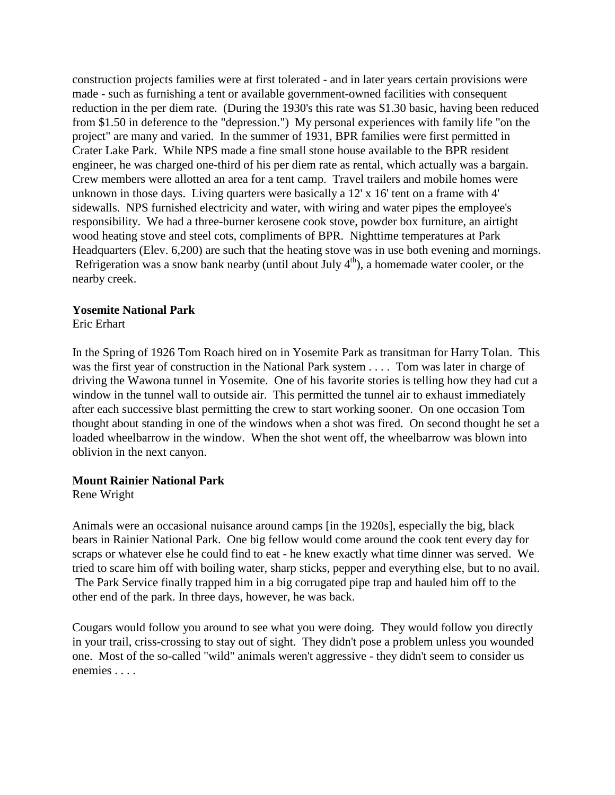construction projects families were at first tolerated - and in later years certain provisions were made - such as furnishing a tent or available government-owned facilities with consequent reduction in the per diem rate. (During the 1930's this rate was \$1.30 basic, having been reduced from \$1.50 in deference to the "depression.") My personal experiences with family life "on the project" are many and varied. In the summer of 1931, BPR families were first permitted in Crater Lake Park. While NPS made a fine small stone house available to the BPR resident engineer, he was charged one-third of his per diem rate as rental, which actually was a bargain. Crew members were allotted an area for a tent camp. Travel trailers and mobile homes were unknown in those days. Living quarters were basically a 12' x 16' tent on a frame with 4' sidewalls. NPS furnished electricity and water, with wiring and water pipes the employee's responsibility. We had a three-burner kerosene cook stove, powder box furniture, an airtight wood heating stove and steel cots, compliments of BPR. Nighttime temperatures at Park Headquarters (Elev. 6,200) are such that the heating stove was in use both evening and mornings. Refrigeration was a snow bank nearby (until about July  $4<sup>th</sup>$ ), a homemade water cooler, or the nearby creek.

#### **Yosemite National Park**

Eric Erhart

In the Spring of 1926 Tom Roach hired on in Yosemite Park as transitman for Harry Tolan. This was the first year of construction in the National Park system . . . . Tom was later in charge of driving the Wawona tunnel in Yosemite. One of his favorite stories is telling how they had cut a window in the tunnel wall to outside air. This permitted the tunnel air to exhaust immediately after each successive blast permitting the crew to start working sooner. On one occasion Tom thought about standing in one of the windows when a shot was fired. On second thought he set a loaded wheelbarrow in the window. When the shot went off, the wheelbarrow was blown into oblivion in the next canyon.

#### **Mount Rainier National Park**

Rene Wright

Animals were an occasional nuisance around camps [in the 1920s], especially the big, black bears in Rainier National Park. One big fellow would come around the cook tent every day for scraps or whatever else he could find to eat - he knew exactly what time dinner was served. We tried to scare him off with boiling water, sharp sticks, pepper and everything else, but to no avail. The Park Service finally trapped him in a big corrugated pipe trap and hauled him off to the other end of the park. In three days, however, he was back.

Cougars would follow you around to see what you were doing. They would follow you directly in your trail, criss-crossing to stay out of sight. They didn't pose a problem unless you wounded one. Most of the so-called "wild" animals weren't aggressive - they didn't seem to consider us enemies . . . .